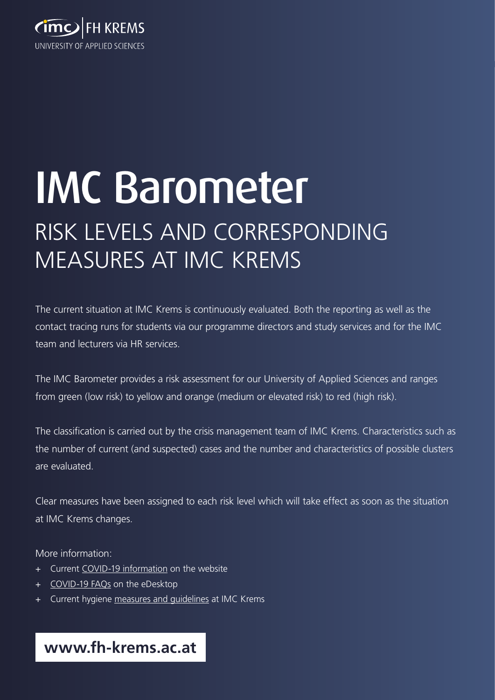

# IMC Barometer RISK LEVELS AND CORRESPONDING MEASURES AT IMC KREMS

The current situation at IMC Krems is continuously evaluated. Both the reporting as well as the contact tracing runs for students via our programme directors and study services and for the IMC team and lecturers via HR services.

The IMC Barometer provides a risk assessment for our University of Applied Sciences and ranges from green (low risk) to yellow and orange (medium or elevated risk) to red (high risk).

The classification is carried out by the crisis management team of IMC Krems. Characteristics such as the number of current (and suspected) cases and the number and characteristics of possible clusters are evaluated.

Clear measures have been assigned to each risk level which will take effect as soon as the situation at IMC Krems changes.

More information:

- + Current [COVID-19 information](https://www.fh-krems.ac.at/en/university/study-year-2020-21/) on the website
- + [COVID-19 FAQs](https://edesktop.fh-krems.ac.at/CVFAQ/SitePages/Home%20english.aspx) on the eDesktop
- + Current hygiene [measures and guidelines](https://www.fh-krems.ac.at/fileadmin/public/downloads/allgemein/hygiene-measures-imc-krems.pdf?static=true) at IMC Krems

**www.fh-krems.ac.at**